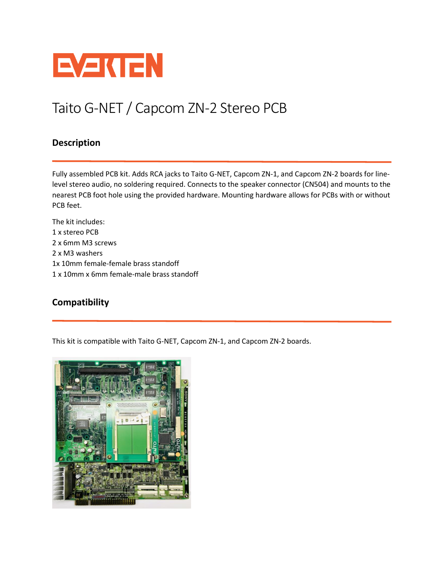

## Taito G-NET / Capcom ZN-2 Stereo PCB

## **Description**

Fully assembled PCB kit. Adds RCA jacks to Taito G-NET, Capcom ZN-1, and Capcom ZN-2 boards for linelevel stereo audio, no soldering required. Connects to the speaker connector (CN504) and mounts to the nearest PCB foot hole using the provided hardware. Mounting hardware allows for PCBs with or without PCB feet.

The kit includes: 1 x stereo PCB 2 x 6mm M3 screws 2 x M3 washers 1x 10mm female-female brass standoff 1 x 10mm x 6mm female-male brass standoff

## **Compatibility**

This kit is compatible with Taito G-NET, Capcom ZN-1, and Capcom ZN-2 boards.

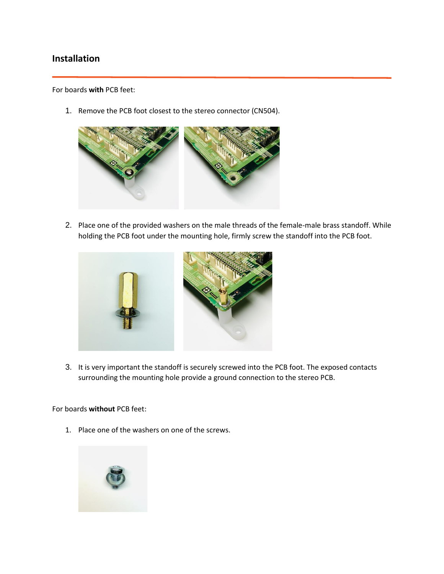## **Installation**

For boards **with** PCB feet:

1. Remove the PCB foot closest to the stereo connector (CN504).



2. Place one of the provided washers on the male threads of the female-male brass standoff. While holding the PCB foot under the mounting hole, firmly screw the standoff into the PCB foot.



3. It is very important the standoff is securely screwed into the PCB foot. The exposed contacts surrounding the mounting hole provide a ground connection to the stereo PCB.

For boards **without** PCB feet:

1. Place one of the washers on one of the screws.